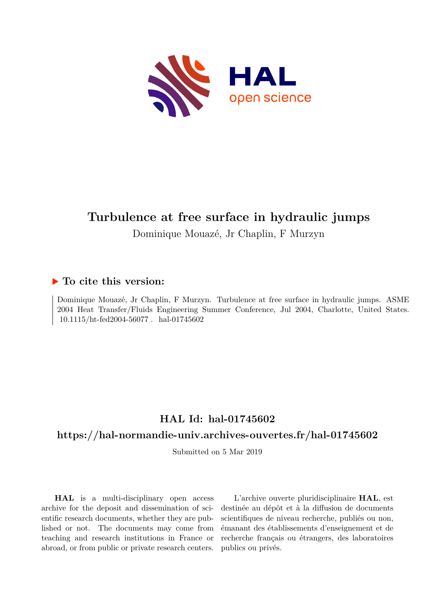

# **Turbulence at free surface in hydraulic jumps**

Dominique Mouazé, Jr Chaplin, F Murzyn

## **To cite this version:**

Dominique Mouazé, Jr Chaplin, F Murzyn. Turbulence at free surface in hydraulic jumps. ASME 2004 Heat Transfer/Fluids Engineering Summer Conference, Jul 2004, Charlotte, United States.  $10.1115/\text{ht-fed2004-56077}$ . hal-01745602

# **HAL Id: hal-01745602**

## **<https://hal-normandie-univ.archives-ouvertes.fr/hal-01745602>**

Submitted on 5 Mar 2019

**HAL** is a multi-disciplinary open access archive for the deposit and dissemination of scientific research documents, whether they are published or not. The documents may come from teaching and research institutions in France or abroad, or from public or private research centers.

L'archive ouverte pluridisciplinaire **HAL**, est destinée au dépôt et à la diffusion de documents scientifiques de niveau recherche, publiés ou non, émanant des établissements d'enseignement et de recherche français ou étrangers, des laboratoires publics ou privés.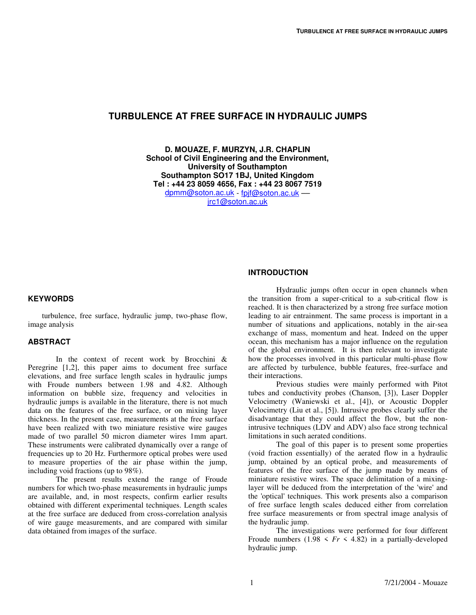### **TURBULENCE AT FREE SURFACE IN HYDRAULIC JUMPS**

**D. MOUAZE, F. MURZYN, J.R. CHAPLIN School of Civil Engineering and the Environment, University of Southampton Southampton SO17 1BJ, United Kingdom Tel : +44 23 8059 4656, Fax : +44 23 8067 7519**  dpmm@soton.ac.uk - fpjf@soton.ac.uk –– jrc1@soton.ac.uk

#### **INTRODUCTION**

#### **KEYWORDS**

turbulence, free surface, hydraulic jump, two-phase flow, image analysis

#### **ABSTRACT**

In the context of recent work by Brocchini & Peregrine [1,2], this paper aims to document free surface elevations, and free surface length scales in hydraulic jumps with Froude numbers between 1.98 and 4.82. Although information on bubble size, frequency and velocities in hydraulic jumps is available in the literature, there is not much data on the features of the free surface, or on mixing layer thickness. In the present case, measurements at the free surface have been realized with two miniature resistive wire gauges made of two parallel 50 micron diameter wires 1mm apart. These instruments were calibrated dynamically over a range of frequencies up to 20 Hz. Furthermore optical probes were used to measure properties of the air phase within the jump, including void fractions (up to 98%).

The present results extend the range of Froude numbers for which two-phase measurements in hydraulic jumps are available, and, in most respects, confirm earlier results obtained with different experimental techniques. Length scales at the free surface are deduced from cross-correlation analysis of wire gauge measurements, and are compared with similar data obtained from images of the surface.

Hydraulic jumps often occur in open channels when the transition from a super-critical to a sub-critical flow is reached. It is then characterized by a strong free surface motion leading to air entrainment. The same process is important in a number of situations and applications, notably in the air-sea exchange of mass, momentum and heat. Indeed on the upper ocean, this mechanism has a major influence on the regulation of the global environment. It is then relevant to investigate how the processes involved in this particular multi-phase flow are affected by turbulence, bubble features, free-surface and their interactions.

Previous studies were mainly performed with Pitot tubes and conductivity probes (Chanson, [3]), Laser Doppler Velocimetry (Waniewski et al., [4]), or Acoustic Doppler Velocimetry (Liu et al., [5]). Intrusive probes clearly suffer the disadvantage that they could affect the flow, but the nonintrusive techniques (LDV and ADV) also face strong technical limitations in such aerated conditions.

 The goal of this paper is to present some properties (void fraction essentially) of the aerated flow in a hydraulic jump, obtained by an optical probe, and measurements of features of the free surface of the jump made by means of miniature resistive wires. The space delimitation of a mixinglayer will be deduced from the interpretation of the 'wire' and the 'optical' techniques. This work presents also a comparison of free surface length scales deduced either from correlation free surface measurements or from spectral image analysis of the hydraulic jump.

 The investigations were performed for four different Froude numbers  $(1.98 \leq Fr \leq 4.82)$  in a partially-developed hydraulic jump.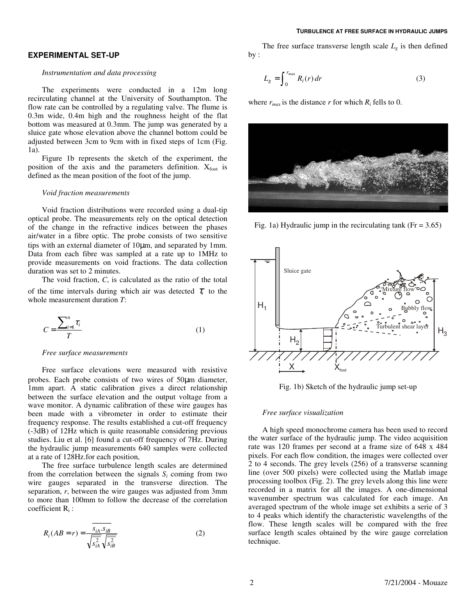#### **TURBULENCE AT FREE SURFACE IN HYDRAULIC JUMPS**

#### **EXPERIMENTAL SET-UP**

#### *Instrumentation and data processing*

The experiments were conducted in a 12m long recirculating channel at the University of Southampton. The flow rate can be controlled by a regulating valve. The flume is 0.3m wide, 0.4m high and the roughness height of the flat bottom was measured at 0.3mm. The jump was generated by a sluice gate whose elevation above the channel bottom could be adjusted between 3cm to 9cm with in fixed steps of 1cm (Fig. 1a).

Figure 1b represents the sketch of the experiment, the position of the axis and the parameters definition.  $X_{\text{foot}}$  is defined as the mean position of the foot of the jump.

#### *Void fraction measurements*

Void fraction distributions were recorded using a dual-tip optical probe. The measurements rely on the optical detection of the change in the refractive indices between the phases air/water in a fibre optic. The probe consists of two sensitive tips with an external diameter of 10µm, and separated by 1mm. Data from each fibre was sampled at a rate up to 1MHz to provide measurements on void fractions. The data collection duration was set to 2 minutes.

The void fraction, *C*, is calculated as the ratio of the total of the time intervals during which air was detected  $\tau$ <sub>i</sub> to the whole measurement duration *T*:

$$
C = \frac{\sum_{i=1}^{n} \tau_i}{T}
$$
 (1)

#### *Free surface measurements*

Free surface elevations were measured with resistive probes. Each probe consists of two wires of 50µm diameter, 1mm apart. A static calibration gives a direct relationship between the surface elevation and the output voltage from a wave monitor. A dynamic calibration of these wire gauges has been made with a vibrometer in order to estimate their frequency response. The results established a cut-off frequency (-3dB) of 12Hz which is quite reasonable considering previous studies. Liu et al. [6] found a cut-off frequency of 7Hz. During the hydraulic jump measurements 640 samples were collected at a rate of 128Hz.for each position,

The free surface turbulence length scales are determined from the correlation between the signals  $S_i$  coming from two wire gauges separated in the transverse direction. The separation, *r*, between the wire gauges was adjusted from 3mm to more than 100mm to follow the decrease of the correlation coefficient  $R_i$ :

$$
R_i(AB = r) = \frac{s_{iA} \cdot s_{iB}}{\sqrt{s_{iA}^2} \sqrt{s_{iB}^2}}
$$
 (2)

The free surface transverse length scale  $L_g$  is then defined by :

$$
L_g = \int_0^{r_{\text{max}}} R_i(r) dr \tag{3}
$$

where  $r_{max}$  is the distance *r* for which  $R_i$  fells to 0.



Fig. 1a) Hydraulic jump in the recirculating tank ( $Fr = 3.65$ )



Fig. 1b) Sketch of the hydraulic jump set-up

#### *Free surface visualization*

A high speed monochrome camera has been used to record the water surface of the hydraulic jump. The video acquisition rate was 120 frames per second at a frame size of 648 x 484 pixels. For each flow condition, the images were collected over 2 to 4 seconds. The grey levels (256) of a transverse scanning line (over 500 pixels) were collected using the Matlab image processing toolbox (Fig. 2). The grey levels along this line were recorded in a matrix for all the images. A one-dimensional wavenumber spectrum was calculated for each image. An averaged spectrum of the whole image set exhibits a serie of 3 to 4 peaks which identify the characteristic wavelengths of the flow. These length scales will be compared with the free surface length scales obtained by the wire gauge correlation technique.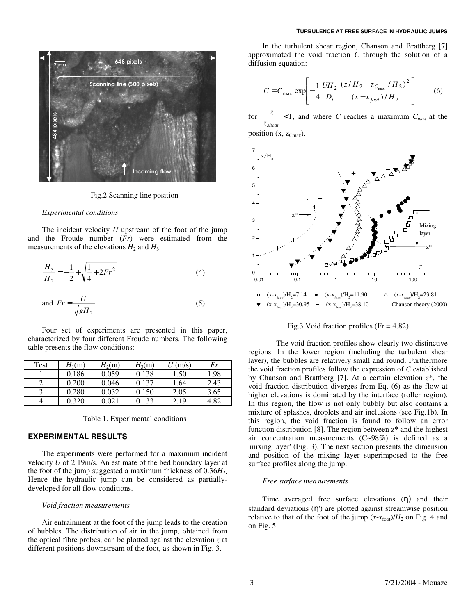

Fig.2 Scanning line position

#### *Experimental conditions*

The incident velocity *U* upstream of the foot of the jump and the Froude number (*Fr*) were estimated from the measurements of the elevations  $H_2$  and  $H_3$ :

$$
\frac{H_3}{H_2} = -\frac{1}{2} + \sqrt{\frac{1}{4} + 2Fr^2}
$$
 (4)

and 
$$
Fr = \frac{U}{\sqrt{gH_2}}
$$
 (5)

Four set of experiments are presented in this paper, characterized by four different Froude numbers. The following table presents the flow conditions:

| Test | $H_1(m)$ | $H_2(m)$ | $H_3(m)$ | $U$ (m/s) | Fr   |
|------|----------|----------|----------|-----------|------|
|      | 0.186    | 0.059    | 0.138    | 1.50      | 1.98 |
|      | 0.200    | 0.046    | 0.137    | 1.64      | 2.43 |
|      | 0.280    | 0.032    | 0.150    | 2.05      | 3.65 |
|      | 0.320    | 0.021    | 0.133    | 2.19      | 4.82 |

Table 1. Experimental conditions

#### **EXPERIMENTAL RESULTS**

The experiments were performed for a maximum incident velocity *U* of 2.19m/s. An estimate of the bed boundary layer at the foot of the jump suggested a maximum thickness of  $0.36H<sub>2</sub>$ . Hence the hydraulic jump can be considered as partiallydeveloped for all flow conditions.

#### *Void fraction measurements*

Air entrainment at the foot of the jump leads to the creation of bubbles. The distribution of air in the jump, obtained from the optical fibre probes, can be plotted against the elevation *z* at different positions downstream of the foot, as shown in Fig. 3.

In the turbulent shear region, Chanson and Brattberg [7] approximated the void fraction *C* through the solution of a diffusion equation:

$$
C = C_{\text{max}} \exp\left[-\frac{1}{4} \frac{UH_2}{D_t} \frac{(z/H_2 - z_{C_{\text{max}}} / H_2)^2}{(x - x_{foot}) / H_2}\right]
$$
(6)

for  $\frac{z}{z}$  <1, and where *C* reaches a maximum  $C_{max}$  at the *shear z*

position  $(x, z_{Cmax})$ .



Fig.3 Void fraction profiles ( $Fr = 4.82$ )

 The void fraction profiles show clearly two distinctive regions. In the lower region (including the turbulent shear layer), the bubbles are relatively small and round. Furthermore the void fraction profiles follow the expression of *C* established by Chanson and Brattberg [7]. At a certain elevation *z*\*, the void fraction distribution diverges from Eq. (6) as the flow at higher elevations is dominated by the interface (roller region). In this region, the flow is not only bubbly but also contains a mixture of splashes, droplets and air inclusions (see Fig.1b). In this region, the void fraction is found to follow an error function distribution [8]. The region between  $z^*$  and the highest air concentration measurements (C~98%) is defined as a 'mixing layer' (Fig. 3). The next section presents the dimension and position of the mixing layer superimposed to the free surface profiles along the jump.

#### *Free surface measurements*

Time averaged free surface elevations (η) and their standard deviations (η') are plotted against streamwise position relative to that of the foot of the jump  $(x-x_{\text{foot}})/H_2$  on Fig. 4 and on Fig. 5.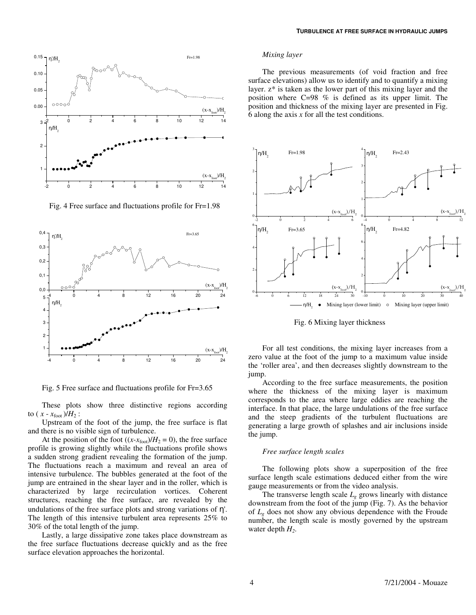

Fig. 4 Free surface and fluctuations profile for Fr=1.98



Fig. 5 Free surface and fluctuations profile for Fr=3.65

These plots show three distinctive regions according to ( $x - x_{\text{foot}}$ )/ $H_2$ :

Upstream of the foot of the jump, the free surface is flat and there is no visible sign of turbulence.

At the position of the foot  $((x-x_{\text{foot}})/H_2 = 0)$ , the free surface profile is growing slightly while the fluctuations profile shows a sudden strong gradient revealing the formation of the jump. The fluctuations reach a maximum and reveal an area of intensive turbulence. The bubbles generated at the foot of the jump are entrained in the shear layer and in the roller, which is characterized by large recirculation vortices. Coherent structures, reaching the free surface, are revealed by the undulations of the free surface plots and strong variations of η'. The length of this intensive turbulent area represents 25% to 30% of the total length of the jump.

Lastly, a large dissipative zone takes place downstream as the free surface fluctuations decrease quickly and as the free surface elevation approaches the horizontal.

#### *Mixing layer*

The previous measurements (of void fraction and free surface elevations) allow us to identify and to quantify a mixing layer. z\* is taken as the lower part of this mixing layer and the position where C=98 % is defined as its upper limit. The position and thickness of the mixing layer are presented in Fig. 6 along the axis *x* for all the test conditions.



Fig. 6 Mixing layer thickness

For all test conditions, the mixing layer increases from a zero value at the foot of the jump to a maximum value inside the 'roller area', and then decreases slightly downstream to the jump.

According to the free surface measurements, the position where the thickness of the mixing layer is maximum corresponds to the area where large eddies are reaching the interface. In that place, the large undulations of the free surface and the steep gradients of the turbulent fluctuations are generating a large growth of splashes and air inclusions inside the jump.

#### *Free surface length scales*

The following plots show a superposition of the free surface length scale estimations deduced either from the wire gauge measurements or from the video analysis.

The transverse length scale  $L_g$  grows linearly with distance downstream from the foot of the jump (Fig. 7). As the behavior of *Lg* does not show any obvious dependence with the Froude number, the length scale is mostly governed by the upstream water depth *H2*.